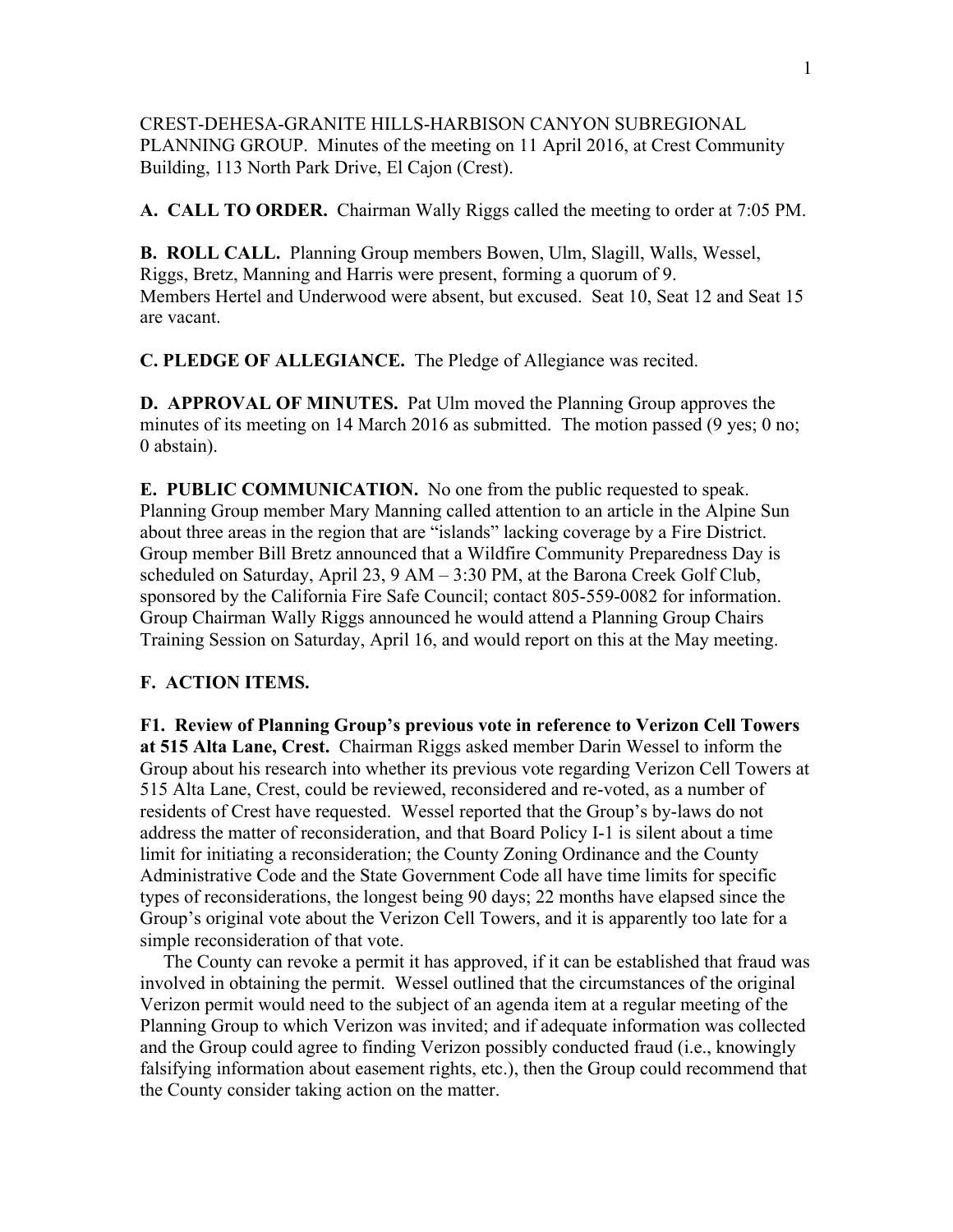CREST-DEHESA-GRANITE HILLS-HARBISON CANYON SUBREGIONAL PLANNING GROUP. Minutes of the meeting on 11 April 2016, at Crest Community Building, 113 North Park Drive, El Cajon (Crest).

**A. CALL TO ORDER.** Chairman Wally Riggs called the meeting to order at 7:05 PM.

**B. ROLL CALL.** Planning Group members Bowen, Ulm, Slagill, Walls, Wessel, Riggs, Bretz, Manning and Harris were present, forming a quorum of 9. Members Hertel and Underwood were absent, but excused. Seat 10, Seat 12 and Seat 15 are vacant.

**C. PLEDGE OF ALLEGIANCE.** The Pledge of Allegiance was recited.

**D. APPROVAL OF MINUTES.** Pat Ulm moved the Planning Group approves the minutes of its meeting on 14 March 2016 as submitted. The motion passed (9 yes; 0 no; 0 abstain).

**E. PUBLIC COMMUNICATION.** No one from the public requested to speak. Planning Group member Mary Manning called attention to an article in the Alpine Sun about three areas in the region that are "islands" lacking coverage by a Fire District. Group member Bill Bretz announced that a Wildfire Community Preparedness Day is scheduled on Saturday, April 23, 9 AM – 3:30 PM, at the Barona Creek Golf Club, sponsored by the California Fire Safe Council; contact 805-559-0082 for information. Group Chairman Wally Riggs announced he would attend a Planning Group Chairs Training Session on Saturday, April 16, and would report on this at the May meeting.

## **F. ACTION ITEMS.**

**F1. Review of Planning Group's previous vote in reference to Verizon Cell Towers at 515 Alta Lane, Crest.** Chairman Riggs asked member Darin Wessel to inform the Group about his research into whether its previous vote regarding Verizon Cell Towers at 515 Alta Lane, Crest, could be reviewed, reconsidered and re-voted, as a number of residents of Crest have requested. Wessel reported that the Group's by-laws do not address the matter of reconsideration, and that Board Policy I-1 is silent about a time limit for initiating a reconsideration; the County Zoning Ordinance and the County Administrative Code and the State Government Code all have time limits for specific types of reconsiderations, the longest being 90 days; 22 months have elapsed since the Group's original vote about the Verizon Cell Towers, and it is apparently too late for a simple reconsideration of that vote.

 The County can revoke a permit it has approved, if it can be established that fraud was involved in obtaining the permit. Wessel outlined that the circumstances of the original Verizon permit would need to the subject of an agenda item at a regular meeting of the Planning Group to which Verizon was invited; and if adequate information was collected and the Group could agree to finding Verizon possibly conducted fraud (i.e., knowingly falsifying information about easement rights, etc.), then the Group could recommend that the County consider taking action on the matter.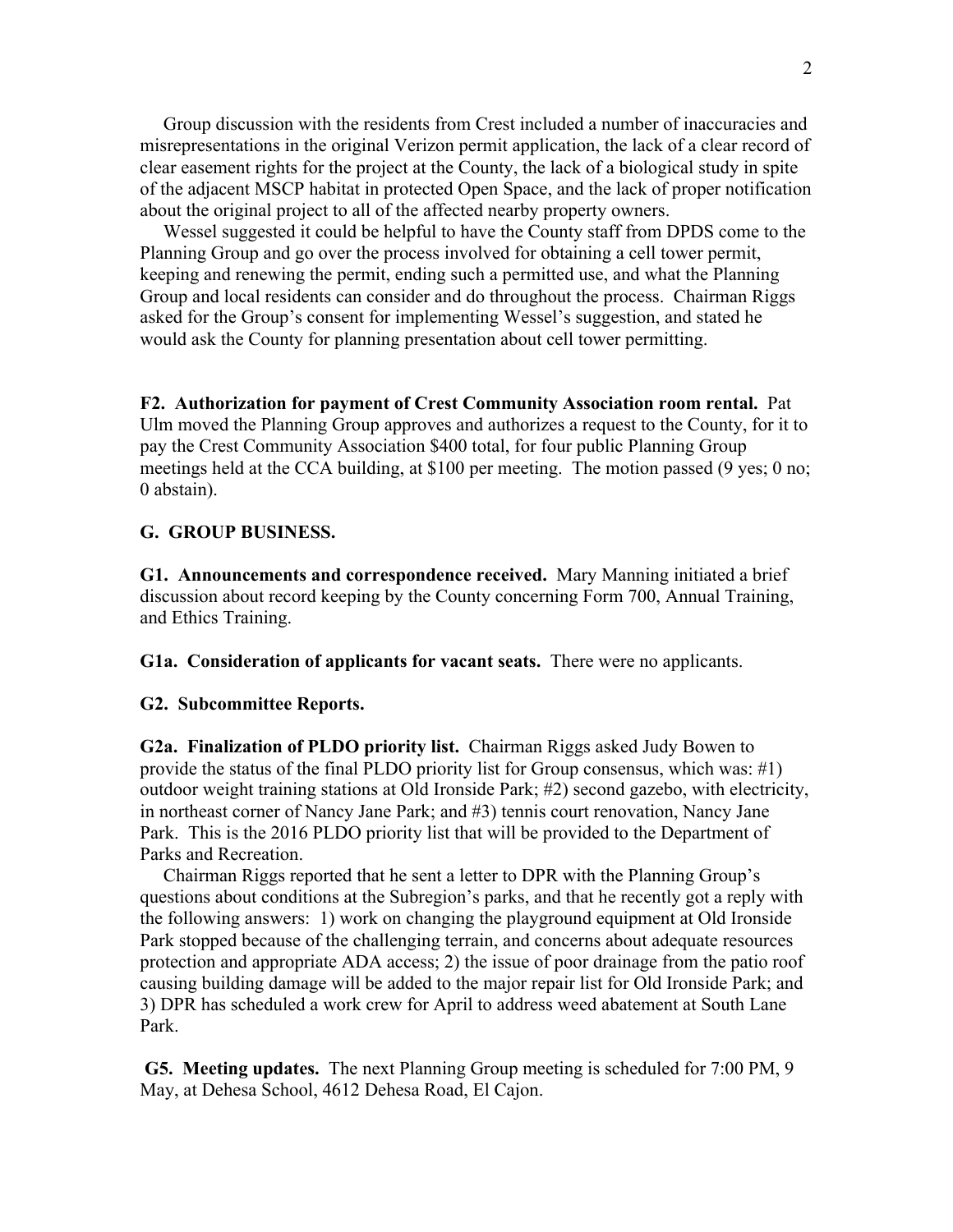Group discussion with the residents from Crest included a number of inaccuracies and misrepresentations in the original Verizon permit application, the lack of a clear record of clear easement rights for the project at the County, the lack of a biological study in spite of the adjacent MSCP habitat in protected Open Space, and the lack of proper notification about the original project to all of the affected nearby property owners.

 Wessel suggested it could be helpful to have the County staff from DPDS come to the Planning Group and go over the process involved for obtaining a cell tower permit, keeping and renewing the permit, ending such a permitted use, and what the Planning Group and local residents can consider and do throughout the process. Chairman Riggs asked for the Group's consent for implementing Wessel's suggestion, and stated he would ask the County for planning presentation about cell tower permitting.

**F2. Authorization for payment of Crest Community Association room rental.** Pat Ulm moved the Planning Group approves and authorizes a request to the County, for it to pay the Crest Community Association \$400 total, for four public Planning Group meetings held at the CCA building, at \$100 per meeting. The motion passed (9 yes; 0 no; 0 abstain).

## **G. GROUP BUSINESS.**

**G1. Announcements and correspondence received.** Mary Manning initiated a brief discussion about record keeping by the County concerning Form 700, Annual Training, and Ethics Training.

**G1a. Consideration of applicants for vacant seats.** There were no applicants.

## **G2. Subcommittee Reports.**

**G2a. Finalization of PLDO priority list.** Chairman Riggs asked Judy Bowen to provide the status of the final PLDO priority list for Group consensus, which was: #1) outdoor weight training stations at Old Ironside Park; #2) second gazebo, with electricity, in northeast corner of Nancy Jane Park; and #3) tennis court renovation, Nancy Jane Park. This is the 2016 PLDO priority list that will be provided to the Department of Parks and Recreation.

 Chairman Riggs reported that he sent a letter to DPR with the Planning Group's questions about conditions at the Subregion's parks, and that he recently got a reply with the following answers: 1) work on changing the playground equipment at Old Ironside Park stopped because of the challenging terrain, and concerns about adequate resources protection and appropriate ADA access; 2) the issue of poor drainage from the patio roof causing building damage will be added to the major repair list for Old Ironside Park; and 3) DPR has scheduled a work crew for April to address weed abatement at South Lane Park.

**G5. Meeting updates.** The next Planning Group meeting is scheduled for 7:00 PM, 9 May, at Dehesa School, 4612 Dehesa Road, El Cajon.